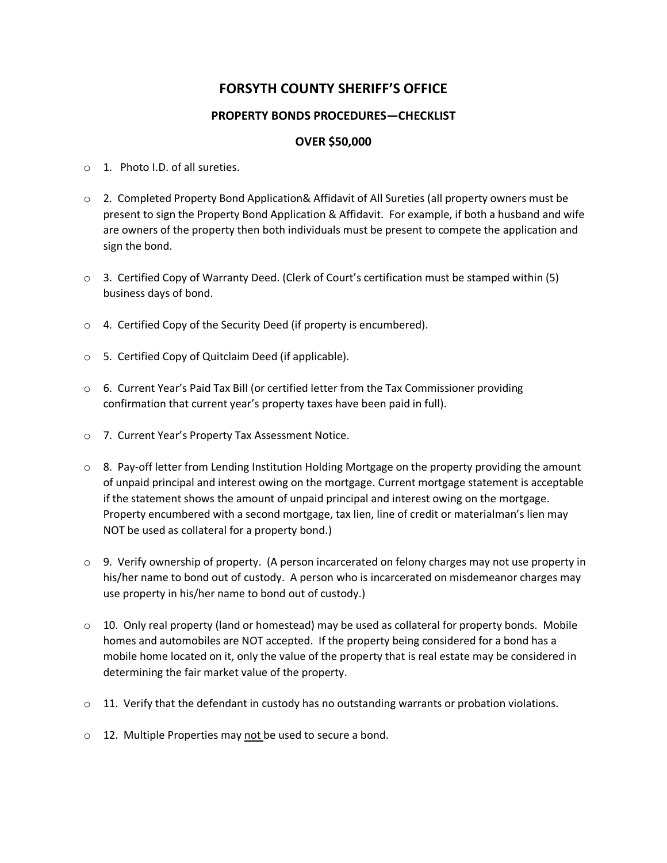## **FORSYTH COUNTY SHERIFF'S OFFICE**

## **PROPERTY BONDS PROCEDURES—CHECKLIST**

## **OVER \$50,000**

- o 1. Photo I.D. of all sureties.
- o 2. Completed Property Bond Application& Affidavit of All Sureties (all property owners must be present to sign the Property Bond Application & Affidavit. For example, if both a husband and wife are owners of the property then both individuals must be present to compete the application and sign the bond.
- $\circ$  3. Certified Copy of Warranty Deed. (Clerk of Court's certification must be stamped within (5) business days of bond.
- o 4. Certified Copy of the Security Deed (if property is encumbered).
- o 5. Certified Copy of Quitclaim Deed (if applicable).
- o 6. Current Year's Paid Tax Bill (or certified letter from the Tax Commissioner providing confirmation that current year's property taxes have been paid in full).
- o 7. Current Year's Property Tax Assessment Notice.
- $\circ$  8. Pay-off letter from Lending Institution Holding Mortgage on the property providing the amount of unpaid principal and interest owing on the mortgage. Current mortgage statement is acceptable if the statement shows the amount of unpaid principal and interest owing on the mortgage. Property encumbered with a second mortgage, tax lien, line of credit or materialman's lien may NOT be used as collateral for a property bond.)
- $\circ$  9. Verify ownership of property. (A person incarcerated on felony charges may not use property in his/her name to bond out of custody. A person who is incarcerated on misdemeanor charges may use property in his/her name to bond out of custody.)
- $\circ$  10. Only real property (land or homestead) may be used as collateral for property bonds. Mobile homes and automobiles are NOT accepted. If the property being considered for a bond has a mobile home located on it, only the value of the property that is real estate may be considered in determining the fair market value of the property.
- $\circ$  11. Verify that the defendant in custody has no outstanding warrants or probation violations.
- $\circ$  12. Multiple Properties may not be used to secure a bond.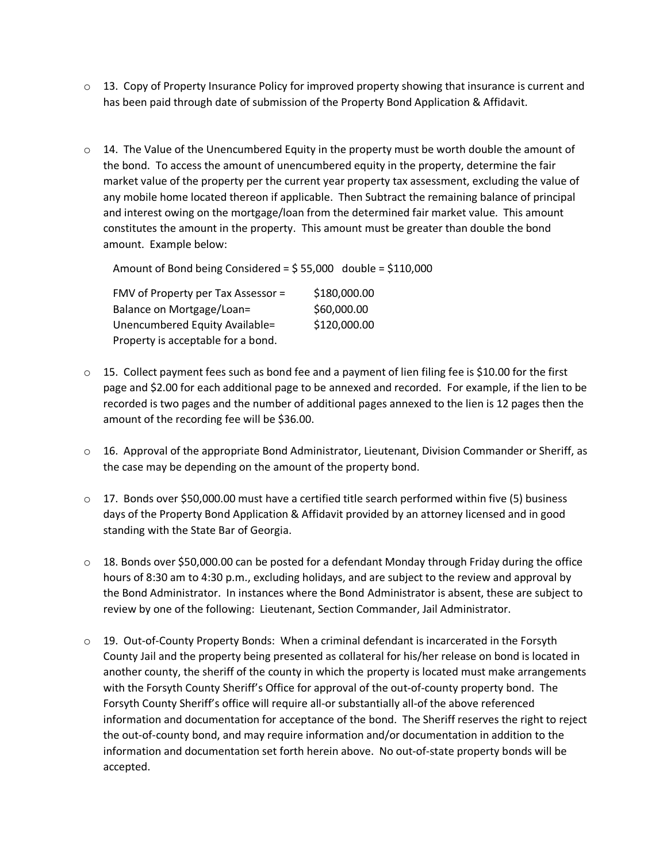- $\circ$  13. Copy of Property Insurance Policy for improved property showing that insurance is current and has been paid through date of submission of the Property Bond Application & Affidavit.
- $\circ$  14. The Value of the Unencumbered Equity in the property must be worth double the amount of the bond. To access the amount of unencumbered equity in the property, determine the fair market value of the property per the current year property tax assessment, excluding the value of any mobile home located thereon if applicable. Then Subtract the remaining balance of principal and interest owing on the mortgage/loan from the determined fair market value. This amount constitutes the amount in the property. This amount must be greater than double the bond amount. Example below:

Amount of Bond being Considered = \$ 55,000 double = \$110,000

FMV of Property per Tax Assessor = \$180,000.00 Balance on Mortgage/Loan= \$60,000.00 Unencumbered Equity Available= \$120,000.00 Property is acceptable for a bond.

- $\circ$  15. Collect payment fees such as bond fee and a payment of lien filing fee is \$10.00 for the first page and \$2.00 for each additional page to be annexed and recorded. For example, if the lien to be recorded is two pages and the number of additional pages annexed to the lien is 12 pages then the amount of the recording fee will be \$36.00.
- $\circ$  16. Approval of the appropriate Bond Administrator, Lieutenant, Division Commander or Sheriff, as the case may be depending on the amount of the property bond.
- $\circ$  17. Bonds over \$50,000.00 must have a certified title search performed within five (5) business days of the Property Bond Application & Affidavit provided by an attorney licensed and in good standing with the State Bar of Georgia.
- $\circ$  18. Bonds over \$50,000.00 can be posted for a defendant Monday through Friday during the office hours of 8:30 am to 4:30 p.m., excluding holidays, and are subject to the review and approval by the Bond Administrator. In instances where the Bond Administrator is absent, these are subject to review by one of the following: Lieutenant, Section Commander, Jail Administrator.
- o 19. Out-of-County Property Bonds: When a criminal defendant is incarcerated in the Forsyth County Jail and the property being presented as collateral for his/her release on bond is located in another county, the sheriff of the county in which the property is located must make arrangements with the Forsyth County Sheriff's Office for approval of the out-of-county property bond. The Forsyth County Sheriff's office will require all-or substantially all-of the above referenced information and documentation for acceptance of the bond. The Sheriff reserves the right to reject the out-of-county bond, and may require information and/or documentation in addition to the information and documentation set forth herein above. No out-of-state property bonds will be accepted.